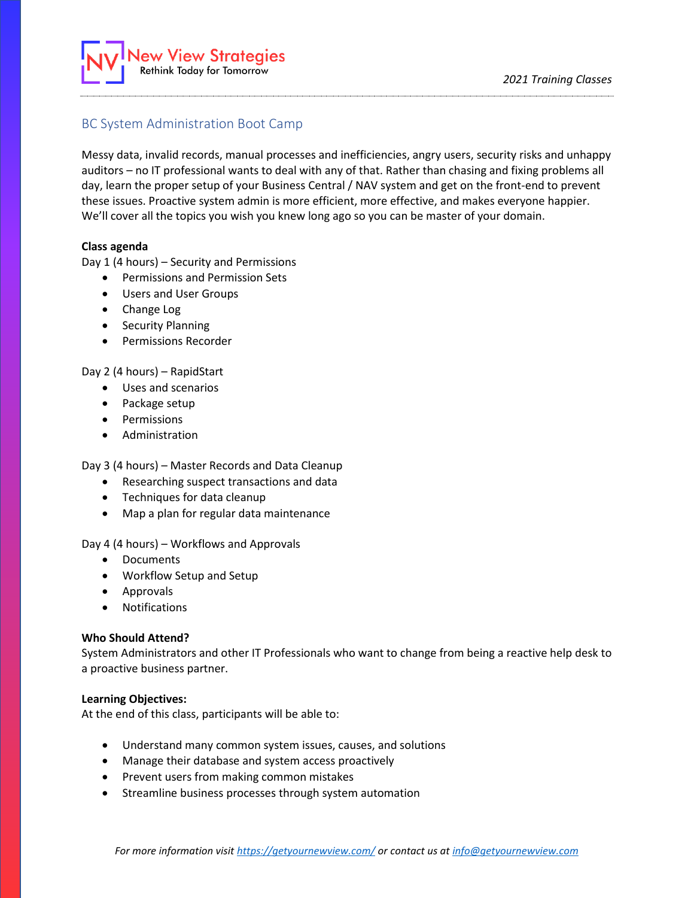

# BC System Administration Boot Camp

Messy data, invalid records, manual processes and inefficiencies, angry users, security risks and unhappy auditors – no IT professional wants to deal with any of that. Rather than chasing and fixing problems all day, learn the proper setup of your Business Central / NAV system and get on the front-end to prevent these issues. Proactive system admin is more efficient, more effective, and makes everyone happier. We'll cover all the topics you wish you knew long ago so you can be master of your domain.

# **Class agenda**

Day 1 (4 hours) – Security and Permissions

- Permissions and Permission Sets
- Users and User Groups
- Change Log
- Security Planning
- Permissions Recorder

# Day 2 (4 hours) – RapidStart

- Uses and scenarios
- Package setup
- Permissions
- Administration

Day 3 (4 hours) – Master Records and Data Cleanup

- Researching suspect transactions and data
- Techniques for data cleanup
- Map a plan for regular data maintenance

Day 4 (4 hours) – Workflows and Approvals

- Documents
- Workflow Setup and Setup
- Approvals
- Notifications

# **Who Should Attend?**

System Administrators and other IT Professionals who want to change from being a reactive help desk to a proactive business partner.

# **Learning Objectives:**

At the end of this class, participants will be able to:

- Understand many common system issues, causes, and solutions
- Manage their database and system access proactively
- Prevent users from making common mistakes
- Streamline business processes through system automation